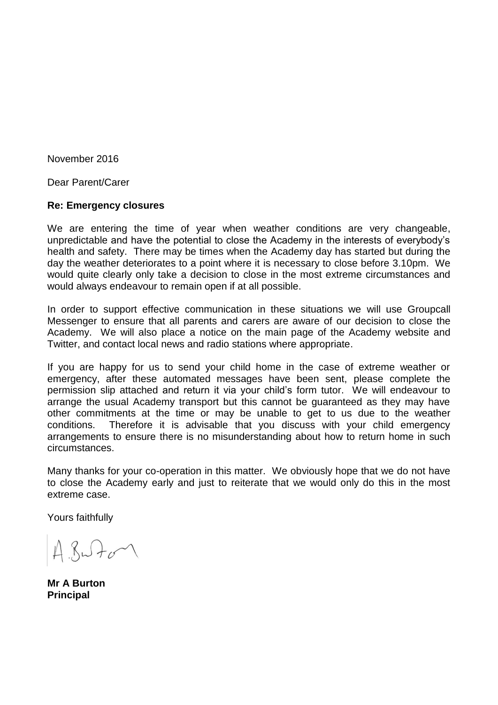November 2016

Dear Parent/Carer

## **Re: Emergency closures**

We are entering the time of year when weather conditions are very changeable, unpredictable and have the potential to close the Academy in the interests of everybody's health and safety. There may be times when the Academy day has started but during the day the weather deteriorates to a point where it is necessary to close before 3.10pm. We would quite clearly only take a decision to close in the most extreme circumstances and would always endeavour to remain open if at all possible.

In order to support effective communication in these situations we will use Groupcall Messenger to ensure that all parents and carers are aware of our decision to close the Academy. We will also place a notice on the main page of the Academy website and Twitter, and contact local news and radio stations where appropriate.

If you are happy for us to send your child home in the case of extreme weather or emergency, after these automated messages have been sent, please complete the permission slip attached and return it via your child's form tutor. We will endeavour to arrange the usual Academy transport but this cannot be guaranteed as they may have other commitments at the time or may be unable to get to us due to the weather conditions. Therefore it is advisable that you discuss with your child emergency arrangements to ensure there is no misunderstanding about how to return home in such circumstances.

Many thanks for your co-operation in this matter. We obviously hope that we do not have to close the Academy early and just to reiterate that we would only do this in the most extreme case.

Yours faithfully

 $A. 8 - F$ 

**Mr A Burton Principal**